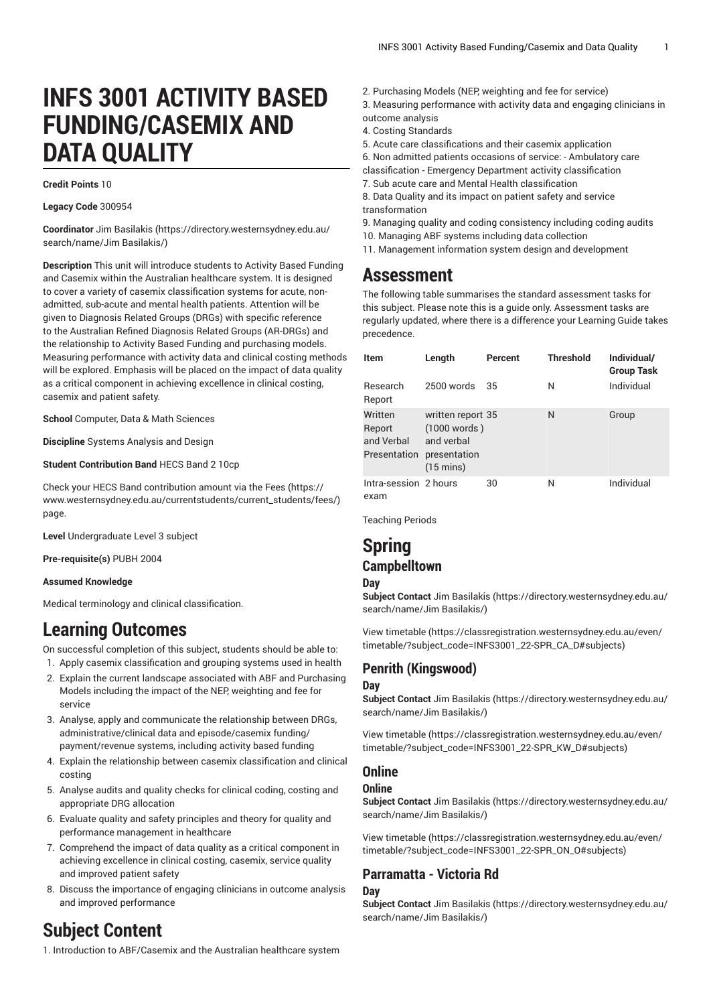# **INFS 3001 ACTIVITY BASED FUNDING/CASEMIX AND DATA QUALITY**

#### **Credit Points** 10

**Legacy Code** 300954

**Coordinator** [Jim Basilakis](https://directory.westernsydney.edu.au/search/name/Jim Basilakis/) ([https://directory.westernsydney.edu.au/](https://directory.westernsydney.edu.au/search/name/Jim Basilakis/) [search/name/Jim](https://directory.westernsydney.edu.au/search/name/Jim Basilakis/) Basilakis/)

**Description** This unit will introduce students to Activity Based Funding and Casemix within the Australian healthcare system. It is designed to cover a variety of casemix classification systems for acute, nonadmitted, sub-acute and mental health patients. Attention will be given to Diagnosis Related Groups (DRGs) with specific reference to the Australian Refined Diagnosis Related Groups (AR-DRGs) and the relationship to Activity Based Funding and purchasing models. Measuring performance with activity data and clinical costing methods will be explored. Emphasis will be placed on the impact of data quality as a critical component in achieving excellence in clinical costing, casemix and patient safety.

**School** Computer, Data & Math Sciences

**Discipline** Systems Analysis and Design

**Student Contribution Band** HECS Band 2 10cp

Check your HECS Band contribution amount via the [Fees \(https://](https://www.westernsydney.edu.au/currentstudents/current_students/fees/) [www.westernsydney.edu.au/currentstudents/current\\_students/fees/\)](https://www.westernsydney.edu.au/currentstudents/current_students/fees/) page.

**Level** Undergraduate Level 3 subject

**Pre-requisite(s)** [PUBH 2004](/search/?P=PUBH%202004)

#### **Assumed Knowledge**

Medical terminology and clinical classification.

# **Learning Outcomes**

On successful completion of this subject, students should be able to: 1. Apply casemix classification and grouping systems used in health

- 2. Explain the current landscape associated with ABF and Purchasing Models including the impact of the NEP, weighting and fee for service
- 3. Analyse, apply and communicate the relationship between DRGs, administrative/clinical data and episode/casemix funding/ payment/revenue systems, including activity based funding
- 4. Explain the relationship between casemix classification and clinical costing
- 5. Analyse audits and quality checks for clinical coding, costing and appropriate DRG allocation
- 6. Evaluate quality and safety principles and theory for quality and performance management in healthcare
- 7. Comprehend the impact of data quality as a critical component in achieving excellence in clinical costing, casemix, service quality and improved patient safety
- 8. Discuss the importance of engaging clinicians in outcome analysis and improved performance
- 2. Purchasing Models (NEP, weighting and fee for service)
	- 3. Measuring performance with activity data and engaging clinicians in outcome analysis
	- 4. Costing Standards
	- 5. Acute care classifications and their casemix application
	- 6. Non admitted patients occasions of service: Ambulatory care
	- classification Emergency Department activity classification
	- 7. Sub acute care and Mental Health classification
	- 8. Data Quality and its impact on patient safety and service transformation
	- 9. Managing quality and coding consistency including coding audits
	- 10. Managing ABF systems including data collection
	- 11. Management information system design and development

# **Assessment**

The following table summarises the standard assessment tasks for this subject. Please note this is a guide only. Assessment tasks are regularly updated, where there is a difference your Learning Guide takes precedence.

| <b>Item</b>                                     | Length                                                                                 | Percent | <b>Threshold</b> | Individual/<br><b>Group Task</b> |
|-------------------------------------------------|----------------------------------------------------------------------------------------|---------|------------------|----------------------------------|
| <b>Research</b><br>Report                       | $2500$ words                                                                           | 35      | N                | Individual                       |
| Written<br>Report<br>and Verbal<br>Presentation | written report 35<br>(1000 words)<br>and verbal<br>presentation<br>$(15 \text{ mins})$ |         | N                | Group                            |
| Intra-session 2 hours<br>exam                   |                                                                                        | 30      | Ν                | Individual                       |

Teaching Periods

# **Spring**

## **Campbelltown**

#### **Day**

**Subject Contact** [Jim Basilakis](https://directory.westernsydney.edu.au/search/name/Jim Basilakis/) [\(https://directory.westernsydney.edu.au/](https://directory.westernsydney.edu.au/search/name/Jim Basilakis/) [search/name/Jim](https://directory.westernsydney.edu.au/search/name/Jim Basilakis/) Basilakis/)

[View timetable](https://classregistration.westernsydney.edu.au/even/timetable/?subject_code=INFS3001_22-SPR_CA_D#subjects) [\(https://classregistration.westernsydney.edu.au/even/](https://classregistration.westernsydney.edu.au/even/timetable/?subject_code=INFS3001_22-SPR_CA_D#subjects) [timetable/?subject\\_code=INFS3001\\_22-SPR\\_CA\\_D#subjects\)](https://classregistration.westernsydney.edu.au/even/timetable/?subject_code=INFS3001_22-SPR_CA_D#subjects)

## **Penrith (Kingswood)**

### **Day**

**Subject Contact** [Jim Basilakis](https://directory.westernsydney.edu.au/search/name/Jim Basilakis/) [\(https://directory.westernsydney.edu.au/](https://directory.westernsydney.edu.au/search/name/Jim Basilakis/) [search/name/Jim](https://directory.westernsydney.edu.au/search/name/Jim Basilakis/) Basilakis/)

[View timetable](https://classregistration.westernsydney.edu.au/even/timetable/?subject_code=INFS3001_22-SPR_KW_D#subjects) [\(https://classregistration.westernsydney.edu.au/even/](https://classregistration.westernsydney.edu.au/even/timetable/?subject_code=INFS3001_22-SPR_KW_D#subjects) [timetable/?subject\\_code=INFS3001\\_22-SPR\\_KW\\_D#subjects\)](https://classregistration.westernsydney.edu.au/even/timetable/?subject_code=INFS3001_22-SPR_KW_D#subjects)

## **Online**

## **Online**

**Subject Contact** [Jim Basilakis](https://directory.westernsydney.edu.au/search/name/Jim Basilakis/) [\(https://directory.westernsydney.edu.au/](https://directory.westernsydney.edu.au/search/name/Jim Basilakis/) [search/name/Jim](https://directory.westernsydney.edu.au/search/name/Jim Basilakis/) Basilakis/)

[View timetable](https://classregistration.westernsydney.edu.au/even/timetable/?subject_code=INFS3001_22-SPR_ON_O#subjects) [\(https://classregistration.westernsydney.edu.au/even/](https://classregistration.westernsydney.edu.au/even/timetable/?subject_code=INFS3001_22-SPR_ON_O#subjects) [timetable/?subject\\_code=INFS3001\\_22-SPR\\_ON\\_O#subjects\)](https://classregistration.westernsydney.edu.au/even/timetable/?subject_code=INFS3001_22-SPR_ON_O#subjects)

## **Parramatta - Victoria Rd**

### **Day**

**Subject Contact** [Jim Basilakis](https://directory.westernsydney.edu.au/search/name/Jim Basilakis/) [\(https://directory.westernsydney.edu.au/](https://directory.westernsydney.edu.au/search/name/Jim Basilakis/) [search/name/Jim](https://directory.westernsydney.edu.au/search/name/Jim Basilakis/) Basilakis/)

# **Subject Content**

1. Introduction to ABF/Casemix and the Australian healthcare system